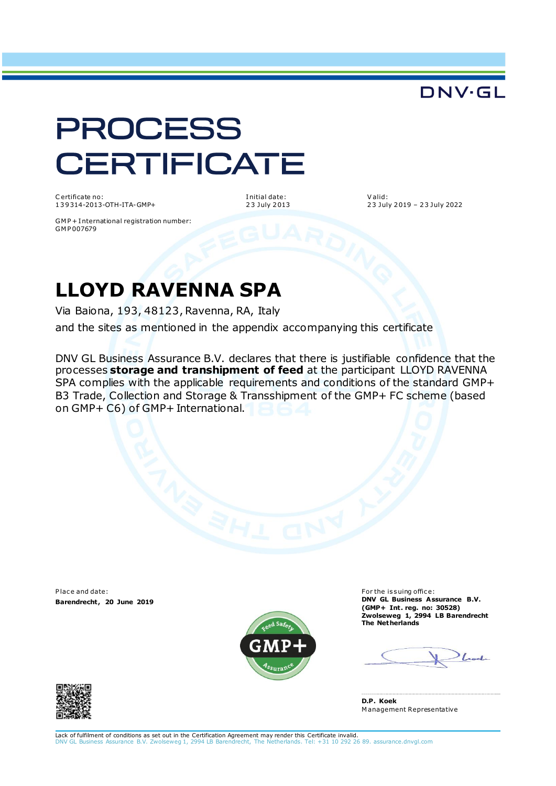### DNV·GL

# **PROCESS CERTIFICATE**

C ertificate no: 1 3 9 314-2013-OTH-ITA-GMP+ I nitial date: 2 3 July 2 013 V alid: 2 3 July 2 019 – 2 3 July 2022

GM P + I nternational registration number: GM P 007679

## **LLOYD RAVENNA SPA**

Via Baiona, 193, 48123, Ravenna, RA, Italy

and the sites as mentioned in the appendix accompanying this certificate

DNV GL Business Assurance B.V. declares that there is justifiable confidence that the processes **storage and transhipment of feed** at the participant LLOYD RAVENNA SPA complies with the applicable requirements and conditions of the standard GMP+ B3 Trade, Collection and Storage & Transshipment of the GMP+ FC scheme (based on GMP+ C6) of GMP+ International.

Place and date: **Barendrecht , 20 June 2019**



For the issuing office: **DNV GL Business Assurance B.V. (GMP+ Int . reg. no: 30528) Zwolseweg 1, 2994 LB Barendrecht The Netherlands**





Lack of fulfilment of conditions as set out in the Certification Agreement may render this Certificate invalid. ancution Agreement may render this serificate in the 1, 2014.